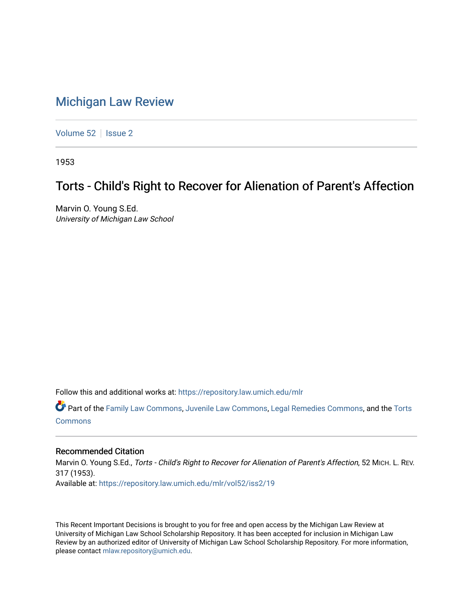## [Michigan Law Review](https://repository.law.umich.edu/mlr)

[Volume 52](https://repository.law.umich.edu/mlr/vol52) | [Issue 2](https://repository.law.umich.edu/mlr/vol52/iss2)

1953

## Torts - Child's Right to Recover for Alienation of Parent's Affection

Marvin O. Young S.Ed. University of Michigan Law School

Follow this and additional works at: [https://repository.law.umich.edu/mlr](https://repository.law.umich.edu/mlr?utm_source=repository.law.umich.edu%2Fmlr%2Fvol52%2Fiss2%2F19&utm_medium=PDF&utm_campaign=PDFCoverPages) 

Part of the [Family Law Commons,](http://network.bepress.com/hgg/discipline/602?utm_source=repository.law.umich.edu%2Fmlr%2Fvol52%2Fiss2%2F19&utm_medium=PDF&utm_campaign=PDFCoverPages) [Juvenile Law Commons](http://network.bepress.com/hgg/discipline/851?utm_source=repository.law.umich.edu%2Fmlr%2Fvol52%2Fiss2%2F19&utm_medium=PDF&utm_campaign=PDFCoverPages), [Legal Remedies Commons](http://network.bepress.com/hgg/discipline/618?utm_source=repository.law.umich.edu%2Fmlr%2Fvol52%2Fiss2%2F19&utm_medium=PDF&utm_campaign=PDFCoverPages), and the [Torts](http://network.bepress.com/hgg/discipline/913?utm_source=repository.law.umich.edu%2Fmlr%2Fvol52%2Fiss2%2F19&utm_medium=PDF&utm_campaign=PDFCoverPages) [Commons](http://network.bepress.com/hgg/discipline/913?utm_source=repository.law.umich.edu%2Fmlr%2Fvol52%2Fiss2%2F19&utm_medium=PDF&utm_campaign=PDFCoverPages)

## Recommended Citation

Marvin O. Young S.Ed., Torts - Child's Right to Recover for Alienation of Parent's Affection, 52 MICH. L. REV. 317 (1953). Available at: [https://repository.law.umich.edu/mlr/vol52/iss2/19](https://repository.law.umich.edu/mlr/vol52/iss2/19?utm_source=repository.law.umich.edu%2Fmlr%2Fvol52%2Fiss2%2F19&utm_medium=PDF&utm_campaign=PDFCoverPages) 

This Recent Important Decisions is brought to you for free and open access by the Michigan Law Review at University of Michigan Law School Scholarship Repository. It has been accepted for inclusion in Michigan Law Review by an authorized editor of University of Michigan Law School Scholarship Repository. For more information, please contact [mlaw.repository@umich.edu.](mailto:mlaw.repository@umich.edu)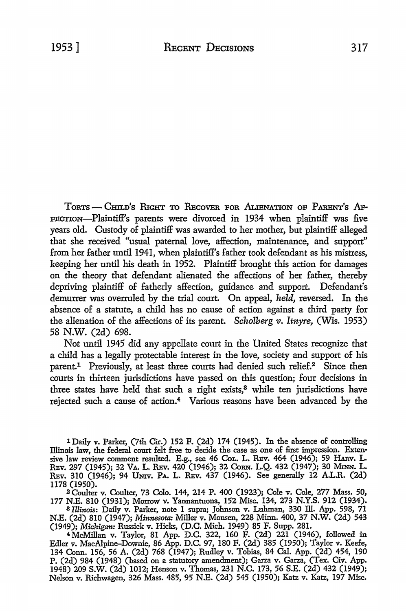TORTS - CHILD'S RIGHT TO RECOVER FOR ALIENATION OF PARENT'S AF-FECTION-Plaintiff's parents were divorced in 1934 when plaintiff was five years old. Custody of plaintiff was awarded to her mother, but plaintiff alleged that she received "usual paternal love, affection, maintenance, and support" from her father until 1941, when plaintiff's father took defendant as his mistress, keeping her until his death in 1952. Plaintiff brought this action for damages on the theory that defendant alienated the affections of her father, thereby depriving plaintiff of fatherly affection, guidance and support. Defendant's demurrer was overruled by the trial court. On appeal, *held,* reversed. In the absence of a statute, a child has no cause of action against a third party for the alienation of the affections of its parent. *Scholberg v. Itnyre,* (Wis. 1953) 58 N.W. (2d) 698.

Not until 1945 did any appellate court in the United States recognize that a child has a legally protectable interest in the love, society and support of his parent.<sup>1</sup> Previously, at least three courts had denied such relief.<sup>2</sup> Since then courts in thirteen jurisdictions have passed on this question; four decisions in three states have held that such a right exists,<sup>8</sup> while ten jurisdictions have rejected such a cause of action.4 Various reasons have been advanced by the

lDaily v. Parker, (7th Cir.) 152 F. (2d) 174 (1945). In the absence of controlling Illinois law, the federal court felt free to decide the case as one of first impression. Extensive law review comment resulted. E.g., see 46 CoL. L. REV. 464 (1946); 59 HARV. L. REV. 297 (1945); 32 VA. L. REV. 420 (1946); 32 CORN. L.Q. 432 (1947); 30 MINN. L. REv. 310 (1946); 94 Umv. PA. L. REv. 437 (1946). See generally 12 *AL.R.* (2d) 1178 (1950).

<sup>2</sup>Coulter v. Coulter, 73 Colo. 144, 214 P. 400 (1923); Cole v. Cole, 277 Mass. 50, 177 N.E. 810 (1931); Morrow v. Yannantuona, 152 Misc. 134, 273 N.Y.S. 912 (1934),

<sup>8</sup>*Illinois:* Daily v. Parker, note 1 supra; Johnson v. Luhman, 330 ill. App. 598, 71 N.E. (2d) 810 (1947); *Minnesota:* Miller v. Monsen, 228 Minn. 400, 37 N.W. (2d) 543 (1949); *Michigan:* Russick v. Hicks, (D.C. Mich. 1949) 85 F. Supp. 281.

<sup>4</sup>McMillan v. Taylor, 81 App. D.C. 322, 160 F. (2d) 221 (1946), followed in Edler v. MacAlpine-Downie, 86 App. D.C. 97, 180 F. (2d) 385 (1950); Taylor v. Keefe, 134 Conn. 156, 56 A. (2d) 768 (1947); Rudley v. Tobias, 84 Cal. App. (2d) 454, 190 P. (2d) 984 (1948) (based on a statutory amendment); Garza v. Garza, (Tex. Civ. App. 1948) 209 S.W. (2d) 1012; Henson v. Thomas, 231 N.C. 173, 56 S.E. (2d) 432 (1949); Nelson v. Richwagen, 326 Mass. 485, 95 N.E. (2d) 545 (1950); Katz v. Katz, 197 Misc.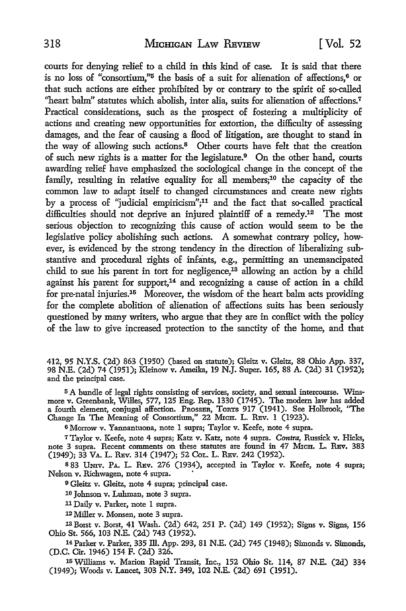courts for denying relief to a child in this kind of case. It is said that there is no loss of "consortium,"<sup>5</sup> the basis of a suit for alienation of affections,<sup>6</sup> or that such actions are either prohibited by or contrary to the spirit of so-called "heart balm" statutes which abolish, inter alia, suits for alienation of affections.<sup>7</sup> Practical considerations, such as the prospect of fostering a multiplicity of actions and creating new opportunities for extortion, the difficulty of assessing damages, and the fear of causing a flood of litigation, are thought to stand in the way of allowing such actions.8 Other courts have felt that the creation of such new rights is a matter for the legislature.9 On the other hand, courts awarding relief have emphasized the sociological change in the concept of the family, resulting in relative equality for all members;<sup>10</sup> the capacity of the common law to adapt itself to changed circumstances and create new rights by a process of "judicial empiricism";11 and the fact that so-called practical difficulties should not deprive an injured plaintiff of a remedy.12 The most serious objection to recognizing this cause of action would seem to be the legislative policy abolishing such actions. A somewhat contrary policy, however, is evidenced by the strong tendency in the direction of liberalizing substantive and procedural rights of infants, e.g., permitting an unemancipated child to sue his parent in tort for negligence,<sup>18</sup> allowing an action by a child against his parent for support, $14$  and recognizing a cause of action in a child for pre-natal injuries.15 Moreover, the wisdom of the heart balm acts providing for the complete abolition of alienation of affections suits has been seriously questioned by many writers, who argue that they are in conflict with the policy of the law to give increased protection to the sanctity of the home, and that

412, 95 N.Y.S. (2d) 863 (1950) (based on statute); Gleitz v. Gleitz, 88 Ohio App. 337, 98 N.E. (2d) 74 (1951); Kleinow v. Ameika, 19 N.J. Super. 165, 88 A. (2d) 31 (1952); and the principal case.

5 A bundle of legal rights consisting of services, society, and sexual intercourse. Winsmore v. Greenbank, Willes, 577, 125 Eng. Rep. 1330 (1745). The modem law has added a fourth element, conjugal affection. PROSSER, ToRTS 917 (1941). See Holbrook, "The Change In The Meaning of Consortium," 22 MrcH. L. REv. 1 (1923).

<sup>6</sup>Morrow v. Yannantuona, note 1 supra; Taylor v. Keefe, note 4 supra.

7 Taylor v. Keefe, note 4 supra; Katz v. Katz, note 4 supra. *Contra,* Russick v. Hicks, note 3 supra. Recent comments on these statutes are found in 47 MrcH. L. REV. 383 (1949); 33 VA. L. REv. 314 (1947); 52 CoL. L. REv. 242 (1952).

<sup>8</sup>83 UNIV. PA. L. REv. 276 (1934), accepted in Taylor v. Keefe, note 4 supra; Nelson v. Richwagen, note 4 supra.

<sup>9</sup>Gleitz v. Gleitz, note 4 supra; principal case.

10 Johnson v. Luhman, note 3 supra.

11 Daily v. Parker, note 1 supra.

12 Miller v. Monsen, note 3 supra.

18 Borst v. Borst, 41 Wash. (2d) 642, 251 P. (2d) 149 (1952); Signs v. Signs, 156 Ohio St. 566, 103 N.E. (2d) 743 (1952).

14 Parker v. Parker, 335 ID. App. 293, 81 N.E. (2d) 745 (1948); Simonds v. Simonds, (D.C. Cir. 1946) 154 F. (2d) 326.

15 Williams v. Marion Rapid Transit, Inc., 152 Ohio St. 114, 87 N.E. (2d) 334 (1949); Woods v. Lancet, 303 N.Y. 349, 102 N.E. (2d) 691 (1951).